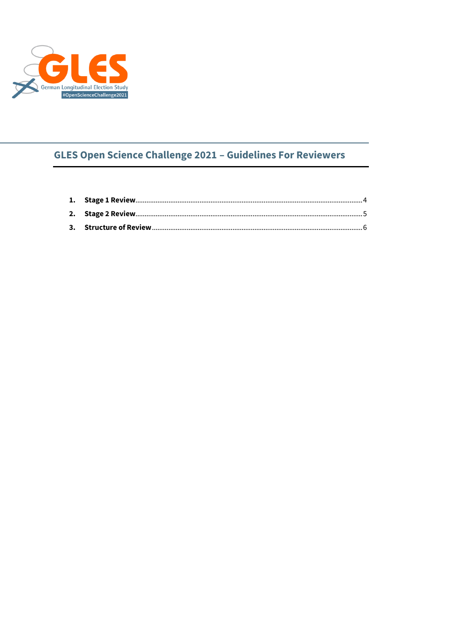

# **GLES Open Science Challenge 2021 - Guidelines For Reviewers**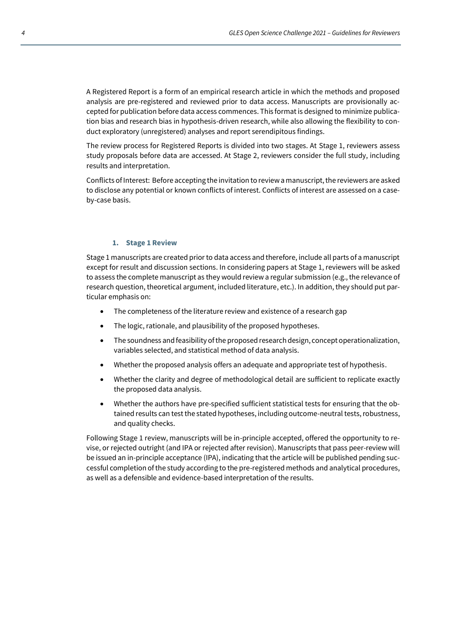A Registered Report is a form of an empirical research article in which the methods and proposed analysis are pre-registered and reviewed prior to data access. Manuscripts are provisionally accepted for publication before data access commences. This format is designed to minimize publication bias and research bias in hypothesis-driven research, while also allowing the flexibility to conduct exploratory (unregistered) analyses and report serendipitous findings.

The review process for Registered Reports is divided into two stages. At Stage 1, reviewers assess study proposals before data are accessed. At Stage 2, reviewers consider the full study, including results and interpretation.

Conflicts of Interest: Before accepting the invitation to review a manuscript, the reviewers are asked to disclose any potential or known conflicts of interest. Conflicts of interest are assessed on a caseby-case basis.

#### **1. Stage 1 Review**

<span id="page-1-0"></span>Stage 1 manuscripts are created prior to data access and therefore, include all parts of a manuscript except for result and discussion sections. In considering papers at Stage 1, reviewers will be asked to assess the complete manuscript as they would review a regular submission (e.g., the relevance of research question, theoretical argument, included literature, etc.). In addition, they should put particular emphasis on:

- The completeness of the literature review and existence of a research gap
- The logic, rationale, and plausibility of the proposed hypotheses.
- The soundness and feasibility of the proposed research design, concept operationalization, variables selected, and statistical method of data analysis.
- Whether the proposed analysis offers an adequate and appropriate test of hypothesis.
- Whether the clarity and degree of methodological detail are sufficient to replicate exactly the proposed data analysis.
- Whether the authors have pre-specified sufficient statistical tests for ensuring that the obtained results can test the stated hypotheses, including outcome-neutral tests, robustness, and quality checks.

Following Stage 1 review, manuscripts will be in-principle accepted, offered the opportunity to revise, or rejected outright (and IPA or rejected after revision). Manuscripts that pass peer-review will be issued an in-principle acceptance (IPA), indicating that the article will be published pending successful completion of the study according to the pre-registered methods and analytical procedures, as well as a defensible and evidence-based interpretation of the results.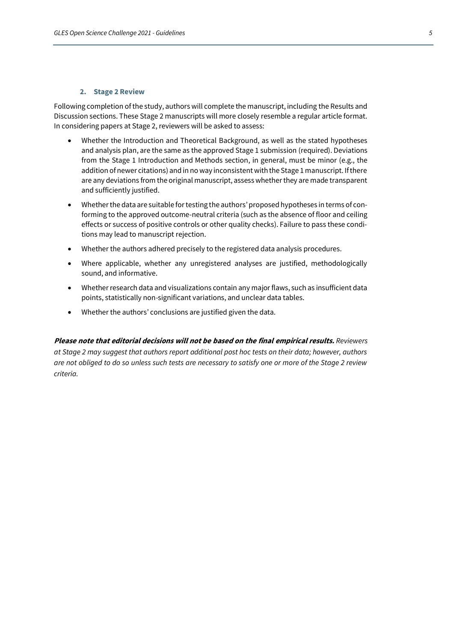#### **2. Stage 2 Review**

<span id="page-2-0"></span>Following completion of the study, authors will complete the manuscript, including the Results and Discussion sections. These Stage 2 manuscripts will more closely resemble a regular article format. In considering papers at Stage 2, reviewers will be asked to assess:

- Whether the Introduction and Theoretical Background, as well as the stated hypotheses and analysis plan, are the same as the approved Stage 1 submission (required). Deviations from the Stage 1 Introduction and Methods section, in general, must be minor (e.g., the addition of newer citations) and in no way inconsistent with the Stage 1 manuscript. If there are any deviations from the original manuscript, assess whether they are made transparent and sufficiently justified.
- Whether the data are suitable for testing the authors' proposed hypotheses in terms of conforming to the approved outcome-neutral criteria (such as the absence of floor and ceiling effects or success of positive controls or other quality checks). Failure to pass these conditions may lead to manuscript rejection.
- Whether the authors adhered precisely to the registered data analysis procedures.
- Where applicable, whether any unregistered analyses are justified, methodologically sound, and informative.
- Whether research data and visualizations contain any major flaws, such as insufficient data points, statistically non-significant variations, and unclear data tables.
- Whether the authors' conclusions are justified given the data.

**Please note that editorial decisions will not be based on the final empirical results.** *Reviewers at Stage 2 may suggest that authors report additional post hoc tests on their data; however, authors are not obliged to do so unless such tests are necessary to satisfy one or more of the Stage 2 review criteria.*